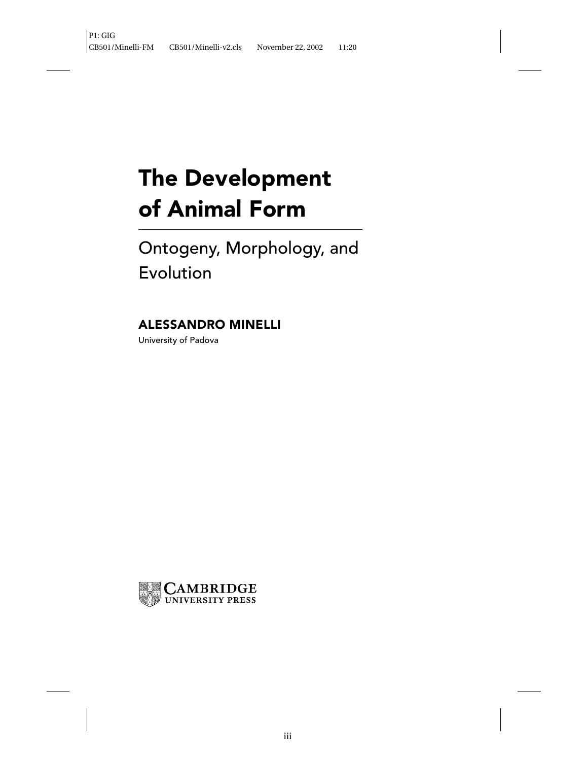# The Development of Animal Form

Ontogeny, Morphology, and Evolution

ALESSANDRO MINELLI

University of Padova

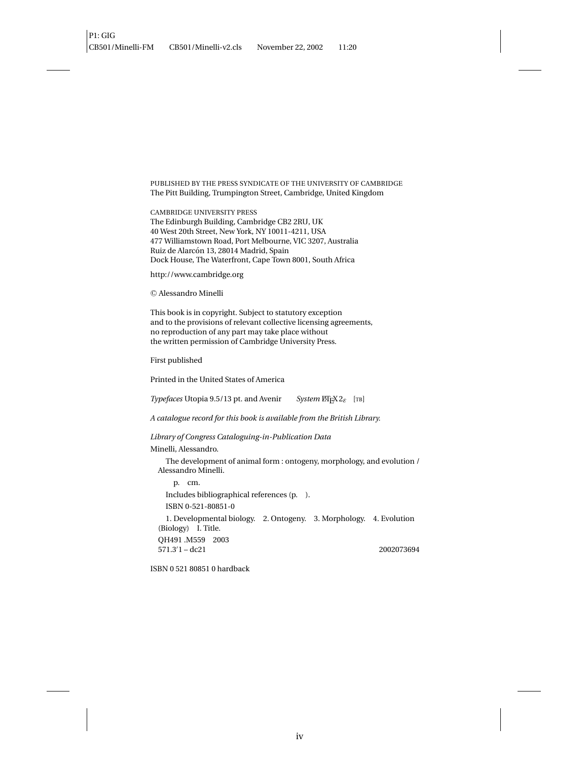PUBLISHED BY THE PRESS SYNDICATE OF THE UNIVERSITY OF CAMBRIDGE The Pitt Building, Trumpington Street, Cambridge, United Kingdom

CAMBRIDGE UNIVERSITY PRESS The Edinburgh Building, Cambridge CB2 2RU, UK 40 West 20th Street, New York, NY 10011-4211, USA 477 Williamstown Road, Port Melbourne, VIC 3207, Australia Ruiz de Alarcón 13, 28014 Madrid, Spain Dock House, The Waterfront, Cape Town 8001, South Africa

http://www.cambridge.org

-<sup>C</sup> Alessandro Minelli

This book is in copyright. Subject to statutory exception and to the provisions of relevant collective licensing agreements, no reproduction of any part may take place without the written permission of Cambridge University Press.

First published

Printed in the United States of America

*Typefaces* Utopia 9.5/13 pt. and Avenir *System Ε*Γ<sub>Ε</sub>Χ2<sub>ε</sub> [TB]

*A catalogue record for this book is available from the British Library.*

*Library of Congress Cataloguing-in-Publication Data*

Minelli, Alessandro.

The development of animal form : ontogeny, morphology, and evolution / Alessandro Minelli.

p. cm. Includes bibliographical references (p. ). ISBN 0-521-80851-0 1. Developmental biology. 2. Ontogeny. 3. Morphology. 4. Evolution (Biology) I. Title.

QH491 .M559 2003  $571.3'1 - dc21$ 

2002073694

ISBN 0 521 80851 0 hardback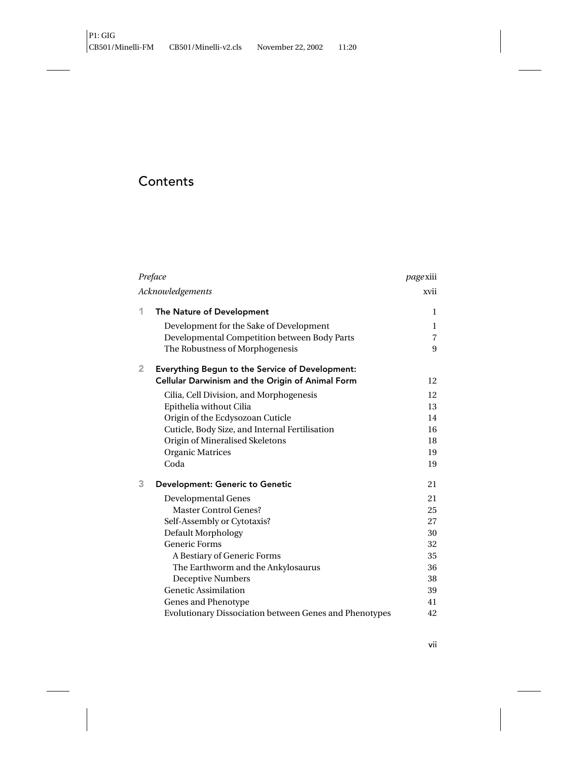## **Contents**

| Preface        |                                                        | pagexiii       |
|----------------|--------------------------------------------------------|----------------|
|                | Acknowledgements                                       | xvii           |
| 1              | The Nature of Development                              | 1              |
|                | Development for the Sake of Development                | 1              |
|                | Developmental Competition between Body Parts           | $\overline{7}$ |
|                | The Robustness of Morphogenesis                        | 9              |
| $\overline{2}$ | <b>Everything Begun to the Service of Development:</b> |                |
|                | Cellular Darwinism and the Origin of Animal Form       | 12             |
|                | Cilia, Cell Division, and Morphogenesis                | 12             |
|                | Epithelia without Cilia                                | 13             |
|                | Origin of the Ecdysozoan Cuticle                       | 14             |
|                | Cuticle, Body Size, and Internal Fertilisation         | 16             |
|                | Origin of Mineralised Skeletons                        | 18             |
|                | <b>Organic Matrices</b>                                | 19             |
|                | Coda                                                   | 19             |
| з              | Development: Generic to Genetic                        | 21             |
|                | Developmental Genes                                    | 21             |
|                | <b>Master Control Genes?</b>                           | 25             |
|                | Self-Assembly or Cytotaxis?                            | 27             |
|                | Default Morphology                                     | 30             |
|                | <b>Generic Forms</b>                                   | 32             |
|                | A Bestiary of Generic Forms                            | 35             |
|                | The Earthworm and the Ankylosaurus                     | 36             |
|                | Deceptive Numbers                                      | 38             |
|                | <b>Genetic Assimilation</b>                            | 39             |
|                | Genes and Phenotype                                    | 41             |
|                | Evolutionary Dissociation between Genes and Phenotypes | 42             |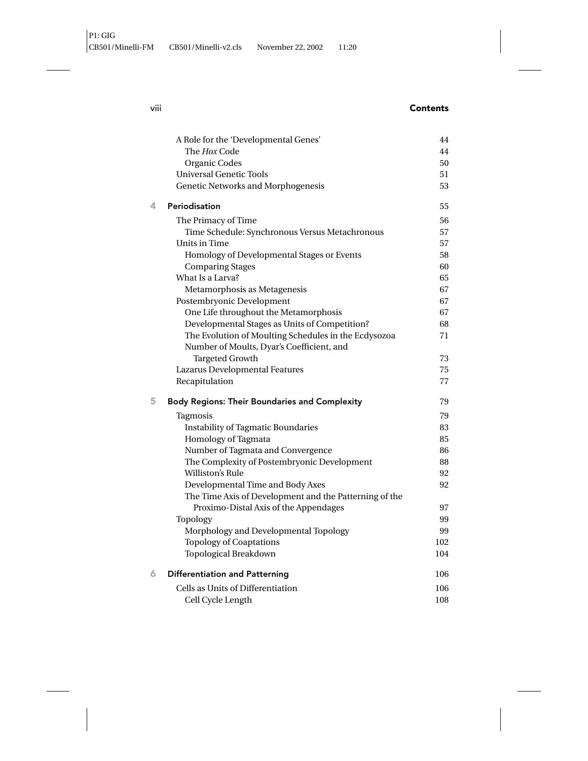|   | A Role for the 'Developmental Genes'                   | 44  |
|---|--------------------------------------------------------|-----|
|   | The <i>Hox</i> Code                                    | 44  |
|   | Organic Codes                                          | 50  |
|   | <b>Universal Genetic Tools</b>                         | 51  |
|   | Genetic Networks and Morphogenesis                     | 53  |
| 4 | Periodisation                                          | 55  |
|   | The Primacy of Time                                    | 56  |
|   | Time Schedule: Synchronous Versus Metachronous         | 57  |
|   | Units in Time                                          | 57  |
|   | Homology of Developmental Stages or Events             | 58  |
|   | <b>Comparing Stages</b>                                | 60  |
|   | What Is a Larva?                                       | 65  |
|   | Metamorphosis as Metagenesis                           | 67  |
|   | Postembryonic Development                              | 67  |
|   | One Life throughout the Metamorphosis                  | 67  |
|   | Developmental Stages as Units of Competition?          | 68  |
|   | The Evolution of Moulting Schedules in the Ecdysozoa   | 71  |
|   | Number of Moults, Dyar's Coefficient, and              |     |
|   | <b>Targeted Growth</b>                                 | 73  |
|   | Lazarus Developmental Features                         | 75  |
|   | Recapitulation                                         | 77  |
| 5 | <b>Body Regions: Their Boundaries and Complexity</b>   | 79  |
|   | Tagmosis                                               | 79  |
|   | <b>Instability of Tagmatic Boundaries</b>              | 83  |
|   | Homology of Tagmata                                    | 85  |
|   | Number of Tagmata and Convergence                      | 86  |
|   | The Complexity of Postembryonic Development            | 88  |
|   | Williston's Rule                                       | 92  |
|   | Developmental Time and Body Axes                       | 92  |
|   | The Time Axis of Development and the Patterning of the |     |
|   | Proximo-Distal Axis of the Appendages                  | 97  |
|   | Topology                                               | 99  |
|   | Morphology and Developmental Topology                  | 99  |
|   | <b>Topology of Coaptations</b>                         | 102 |
|   | <b>Topological Breakdown</b>                           | 104 |
| 6 | <b>Differentiation and Patterning</b>                  | 106 |
|   | Cells as Units of Differentiation                      | 106 |
|   | Cell Cycle Length                                      | 108 |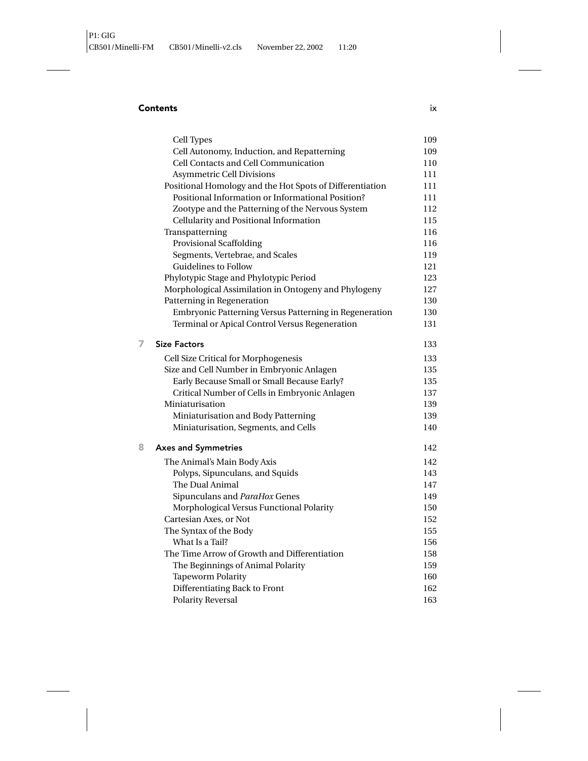### Contents ix

|   | Cell Types                                               | 109 |
|---|----------------------------------------------------------|-----|
|   | Cell Autonomy, Induction, and Repatterning               | 109 |
|   | <b>Cell Contacts and Cell Communication</b>              | 110 |
|   | <b>Asymmetric Cell Divisions</b>                         | 111 |
|   | Positional Homology and the Hot Spots of Differentiation | 111 |
|   | Positional Information or Informational Position?        | 111 |
|   | Zootype and the Patterning of the Nervous System         | 112 |
|   | Cellularity and Positional Information                   | 115 |
|   | Transpatterning                                          | 116 |
|   | <b>Provisional Scaffolding</b>                           | 116 |
|   | Segments, Vertebrae, and Scales                          | 119 |
|   | <b>Guidelines to Follow</b>                              | 121 |
|   | Phylotypic Stage and Phylotypic Period                   | 123 |
|   | Morphological Assimilation in Ontogeny and Phylogeny     | 127 |
|   | Patterning in Regeneration                               | 130 |
|   | Embryonic Patterning Versus Patterning in Regeneration   | 130 |
|   | Terminal or Apical Control Versus Regeneration           | 131 |
| 7 | <b>Size Factors</b>                                      | 133 |
|   | Cell Size Critical for Morphogenesis                     | 133 |
|   | Size and Cell Number in Embryonic Anlagen                | 135 |
|   | Early Because Small or Small Because Early?              | 135 |
|   | Critical Number of Cells in Embryonic Anlagen            | 137 |
|   | Miniaturisation                                          | 139 |
|   | Miniaturisation and Body Patterning                      | 139 |
|   | Miniaturisation, Segments, and Cells                     | 140 |
| 8 | <b>Axes and Symmetries</b>                               | 142 |
|   | The Animal's Main Body Axis                              | 142 |
|   | Polyps, Sipunculans, and Squids                          | 143 |
|   | The Dual Animal                                          | 147 |
|   | Sipunculans and ParaHox Genes                            | 149 |
|   | Morphological Versus Functional Polarity                 | 150 |
|   | Cartesian Axes, or Not                                   | 152 |
|   | The Syntax of the Body                                   | 155 |
|   | What Is a Tail?                                          | 156 |
|   | The Time Arrow of Growth and Differentiation             | 158 |
|   | The Beginnings of Animal Polarity                        | 159 |
|   | <b>Tapeworm Polarity</b>                                 | 160 |
|   | Differentiating Back to Front                            | 162 |
|   | <b>Polarity Reversal</b>                                 | 163 |
|   |                                                          |     |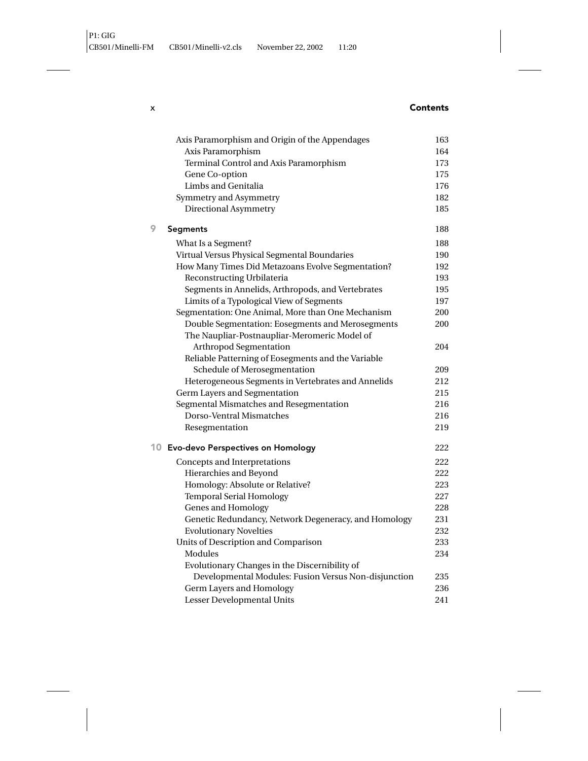|   | Axis Paramorphism and Origin of the Appendages       | 163 |
|---|------------------------------------------------------|-----|
|   | Axis Paramorphism                                    | 164 |
|   | Terminal Control and Axis Paramorphism               | 173 |
|   | Gene Co-option                                       | 175 |
|   | Limbs and Genitalia                                  | 176 |
|   | Symmetry and Asymmetry                               | 182 |
|   | <b>Directional Asymmetry</b>                         | 185 |
| 9 | <b>Segments</b>                                      | 188 |
|   | What Is a Segment?                                   | 188 |
|   | Virtual Versus Physical Segmental Boundaries         | 190 |
|   | How Many Times Did Metazoans Evolve Segmentation?    | 192 |
|   | Reconstructing Urbilateria                           | 193 |
|   | Segments in Annelids, Arthropods, and Vertebrates    | 195 |
|   | Limits of a Typological View of Segments             | 197 |
|   | Segmentation: One Animal, More than One Mechanism    | 200 |
|   | Double Segmentation: Eosegments and Merosegments     | 200 |
|   | The Naupliar-Postnaupliar-Meromeric Model of         |     |
|   | Arthropod Segmentation                               | 204 |
|   | Reliable Patterning of Eosegments and the Variable   |     |
|   | Schedule of Merosegmentation                         | 209 |
|   | Heterogeneous Segments in Vertebrates and Annelids   | 212 |
|   | Germ Layers and Segmentation                         | 215 |
|   | Segmental Mismatches and Resegmentation              | 216 |
|   | Dorso-Ventral Mismatches                             | 216 |
|   | Resegmentation                                       | 219 |
|   | 10 Evo-devo Perspectives on Homology                 | 222 |
|   | Concepts and Interpretations                         | 222 |
|   | Hierarchies and Beyond                               | 222 |
|   | Homology: Absolute or Relative?                      | 223 |
|   | <b>Temporal Serial Homology</b>                      | 227 |
|   | Genes and Homology                                   | 228 |
|   | Genetic Redundancy, Network Degeneracy, and Homology | 231 |
|   | <b>Evolutionary Novelties</b>                        | 232 |
|   | Units of Description and Comparison                  | 233 |
|   | Modules                                              | 234 |
|   | Evolutionary Changes in the Discernibility of        |     |
|   | Developmental Modules: Fusion Versus Non-disjunction | 235 |
|   | Germ Layers and Homology                             | 236 |
|   | Lesser Developmental Units                           | 241 |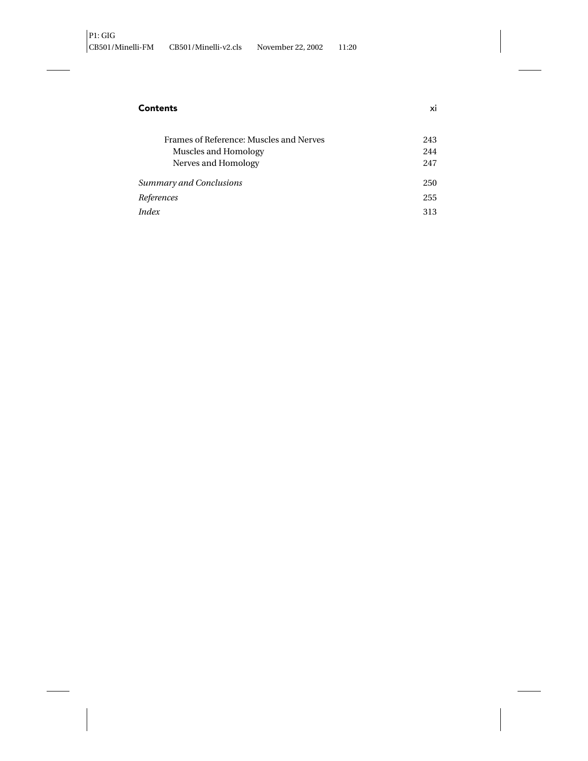## **Contents** xi

| Frames of Reference: Muscles and Nerves | 243 |
|-----------------------------------------|-----|
| Muscles and Homology                    | 244 |
| Nerves and Homology                     | 247 |
| Summary and Conclusions                 | 250 |
| References                              | 255 |
| Index                                   | 313 |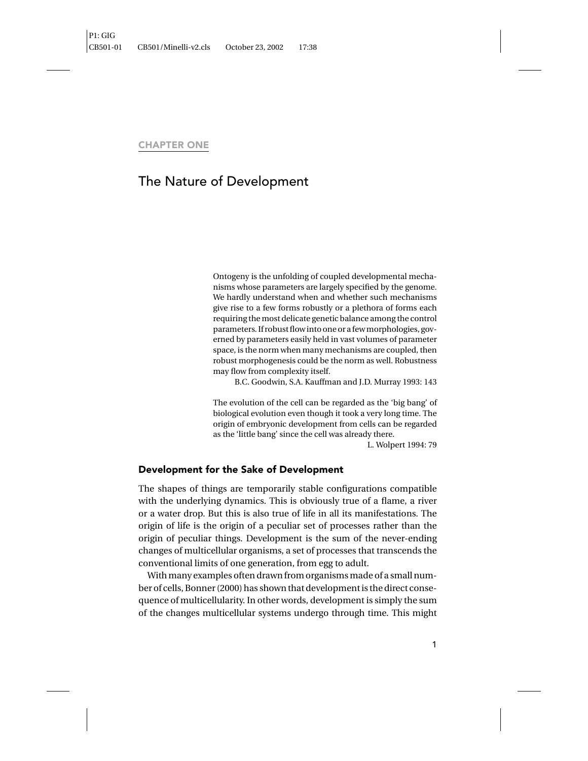Ontogeny is the unfolding of coupled developmental mechanisms whose parameters are largely specified by the genome. We hardly understand when and whether such mechanisms give rise to a few forms robustly or a plethora of forms each requiring the most delicate genetic balance among the control parameters. If robust flow into one or a few morphologies, governed by parameters easily held in vast volumes of parameter space, is the norm when many mechanisms are coupled, then robust morphogenesis could be the norm as well. Robustness may flow from complexity itself.

B.C. Goodwin, S.A. Kauffman and J.D. Murray 1993: 143

The evolution of the cell can be regarded as the 'big bang' of biological evolution even though it took a very long time. The origin of embryonic development from cells can be regarded as the 'little bang' since the cell was already there.

L. Wolpert 1994: 79

#### Development for the Sake of Development

The shapes of things are temporarily stable configurations compatible with the underlying dynamics. This is obviously true of a flame, a river or a water drop. But this is also true of life in all its manifestations. The origin of life is the origin of a peculiar set of processes rather than the origin of peculiar things. Development is the sum of the never-ending changes of multicellular organisms, a set of processes that transcends the conventional limits of one generation, from egg to adult.

With many examples often drawn from organisms made of a small number of cells, Bonner (2000) has shown that development is the direct consequence of multicellularity. In other words, development is simply the sum of the changes multicellular systems undergo through time. This might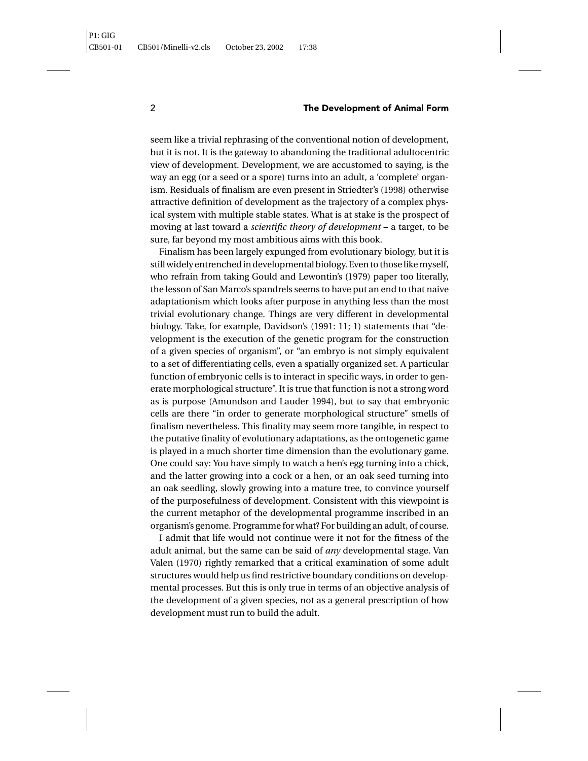seem like a trivial rephrasing of the conventional notion of development, but it is not. It is the gateway to abandoning the traditional adultocentric view of development. Development, we are accustomed to saying, is the way an egg (or a seed or a spore) turns into an adult, a 'complete' organism. Residuals of finalism are even present in Striedter's (1998) otherwise attractive definition of development as the trajectory of a complex physical system with multiple stable states. What is at stake is the prospect of moving at last toward a *scientific theory of development* – a target, to be sure, far beyond my most ambitious aims with this book.

Finalism has been largely expunged from evolutionary biology, but it is still widely entrenched in developmental biology. Even to those like myself, who refrain from taking Gould and Lewontin's (1979) paper too literally, the lesson of San Marco's spandrels seems to have put an end to that naive adaptationism which looks after purpose in anything less than the most trivial evolutionary change. Things are very different in developmental biology. Take, for example, Davidson's (1991: 11; 1) statements that "development is the execution of the genetic program for the construction of a given species of organism", or "an embryo is not simply equivalent to a set of differentiating cells, even a spatially organized set. A particular function of embryonic cells is to interact in specific ways, in order to generate morphological structure". It is true that function is not a strong word as is purpose (Amundson and Lauder 1994), but to say that embryonic cells are there "in order to generate morphological structure" smells of finalism nevertheless. This finality may seem more tangible, in respect to the putative finality of evolutionary adaptations, as the ontogenetic game is played in a much shorter time dimension than the evolutionary game. One could say: You have simply to watch a hen's egg turning into a chick, and the latter growing into a cock or a hen, or an oak seed turning into an oak seedling, slowly growing into a mature tree, to convince yourself of the purposefulness of development. Consistent with this viewpoint is the current metaphor of the developmental programme inscribed in an organism's genome. Programme for what? For building an adult, of course.

I admit that life would not continue were it not for the fitness of the adult animal, but the same can be said of *any* developmental stage. Van Valen (1970) rightly remarked that a critical examination of some adult structures would help us find restrictive boundary conditions on developmental processes. But this is only true in terms of an objective analysis of the development of a given species, not as a general prescription of how development must run to build the adult.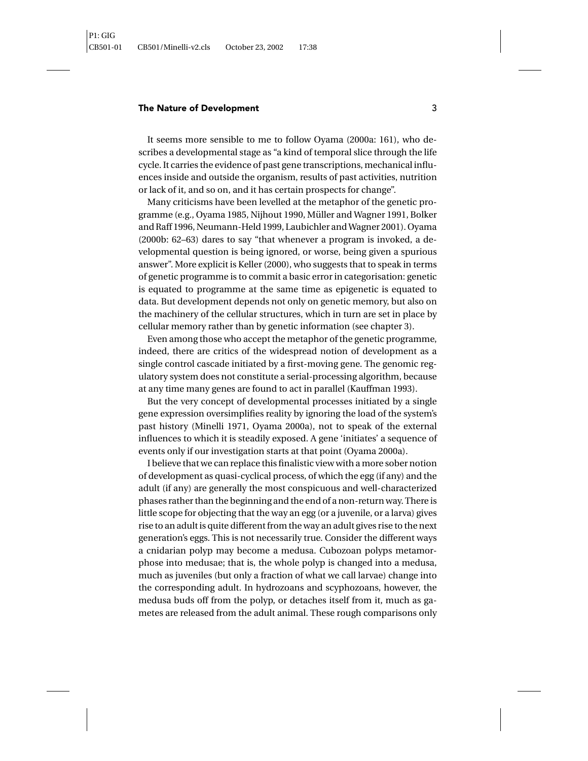It seems more sensible to me to follow Oyama (2000a: 161), who describes a developmental stage as "a kind of temporal slice through the life cycle. It carries the evidence of past gene transcriptions, mechanical influences inside and outside the organism, results of past activities, nutrition or lack of it, and so on, and it has certain prospects for change".

Many criticisms have been levelled at the metaphor of the genetic programme (e.g., Oyama 1985, Nijhout 1990, Müller and Wagner 1991, Bolker and Raff 1996, Neumann-Held 1999, Laubichler and Wagner 2001). Oyama (2000b: 62–63) dares to say "that whenever a program is invoked, a developmental question is being ignored, or worse, being given a spurious answer". More explicit is Keller (2000), who suggests that to speak in terms of genetic programme is to commit a basic error in categorisation: genetic is equated to programme at the same time as epigenetic is equated to data. But development depends not only on genetic memory, but also on the machinery of the cellular structures, which in turn are set in place by cellular memory rather than by genetic information (see chapter 3).

Even among those who accept the metaphor of the genetic programme, indeed, there are critics of the widespread notion of development as a single control cascade initiated by a first-moving gene. The genomic regulatory system does not constitute a serial-processing algorithm, because at any time many genes are found to act in parallel (Kauffman 1993).

But the very concept of developmental processes initiated by a single gene expression oversimplifies reality by ignoring the load of the system's past history (Minelli 1971, Oyama 2000a), not to speak of the external influences to which it is steadily exposed. A gene 'initiates' a sequence of events only if our investigation starts at that point (Oyama 2000a).

I believe that we can replace this finalistic view with a more sober notion of development as quasi-cyclical process, of which the egg (if any) and the adult (if any) are generally the most conspicuous and well-characterized phases rather than the beginning and the end of a non-return way. There is little scope for objecting that the way an egg (or a juvenile, or a larva) gives rise to an adult is quite different from the way an adult gives rise to the next generation's eggs. This is not necessarily true. Consider the different ways a cnidarian polyp may become a medusa. Cubozoan polyps metamorphose into medusae; that is, the whole polyp is changed into a medusa, much as juveniles (but only a fraction of what we call larvae) change into the corresponding adult. In hydrozoans and scyphozoans, however, the medusa buds off from the polyp, or detaches itself from it, much as gametes are released from the adult animal. These rough comparisons only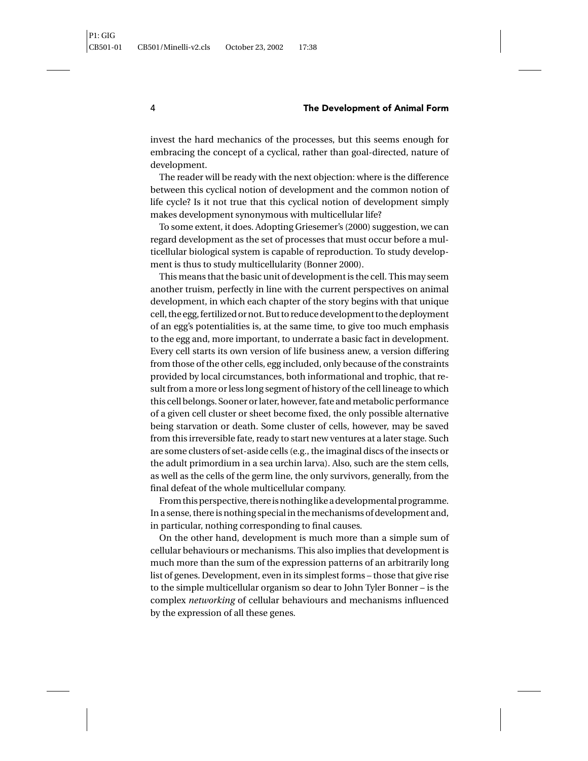invest the hard mechanics of the processes, but this seems enough for embracing the concept of a cyclical, rather than goal-directed, nature of development.

The reader will be ready with the next objection: where is the difference between this cyclical notion of development and the common notion of life cycle? Is it not true that this cyclical notion of development simply makes development synonymous with multicellular life?

To some extent, it does. Adopting Griesemer's (2000) suggestion, we can regard development as the set of processes that must occur before a multicellular biological system is capable of reproduction. To study development is thus to study multicellularity (Bonner 2000).

This means that the basic unit of development is the cell. This may seem another truism, perfectly in line with the current perspectives on animal development, in which each chapter of the story begins with that unique cell, the egg, fertilized or not. But to reduce development to the deployment of an egg's potentialities is, at the same time, to give too much emphasis to the egg and, more important, to underrate a basic fact in development. Every cell starts its own version of life business anew, a version differing from those of the other cells, egg included, only because of the constraints provided by local circumstances, both informational and trophic, that result from a more or less long segment of history of the cell lineage to which this cell belongs. Sooner or later, however, fate and metabolic performance of a given cell cluster or sheet become fixed, the only possible alternative being starvation or death. Some cluster of cells, however, may be saved from this irreversible fate, ready to start new ventures at a later stage. Such are some clusters of set-aside cells (e.g., the imaginal discs of the insects or the adult primordium in a sea urchin larva). Also, such are the stem cells, as well as the cells of the germ line, the only survivors, generally, from the final defeat of the whole multicellular company.

From this perspective, there is nothing like a developmental programme. In a sense, there is nothing special in the mechanisms of development and, in particular, nothing corresponding to final causes.

On the other hand, development is much more than a simple sum of cellular behaviours or mechanisms. This also implies that development is much more than the sum of the expression patterns of an arbitrarily long list of genes. Development, even in its simplest forms – those that give rise to the simple multicellular organism so dear to John Tyler Bonner – is the complex *networking* of cellular behaviours and mechanisms influenced by the expression of all these genes.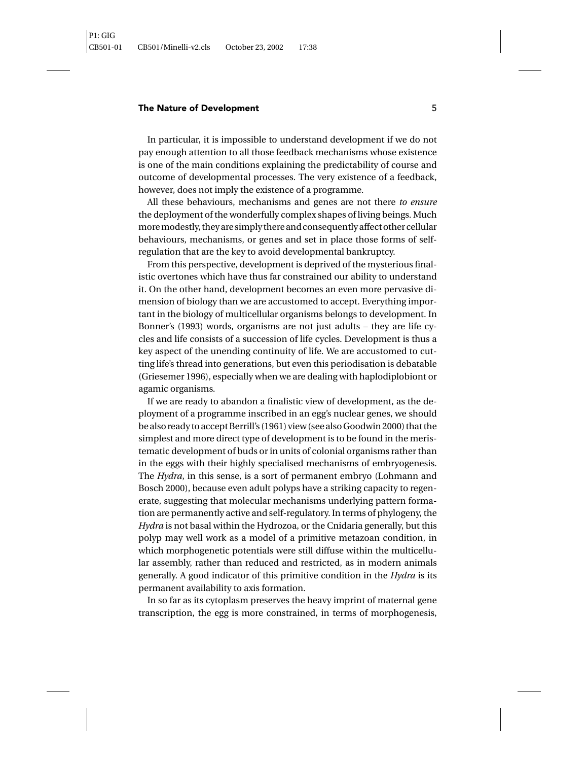In particular, it is impossible to understand development if we do not pay enough attention to all those feedback mechanisms whose existence is one of the main conditions explaining the predictability of course and outcome of developmental processes. The very existence of a feedback, however, does not imply the existence of a programme.

All these behaviours, mechanisms and genes are not there *to ensure* the deployment of the wonderfully complex shapes of living beings. Much more modestly, they are simply there and consequently affect other cellular behaviours, mechanisms, or genes and set in place those forms of selfregulation that are the key to avoid developmental bankruptcy.

From this perspective, development is deprived of the mysterious finalistic overtones which have thus far constrained our ability to understand it. On the other hand, development becomes an even more pervasive dimension of biology than we are accustomed to accept. Everything important in the biology of multicellular organisms belongs to development. In Bonner's (1993) words, organisms are not just adults – they are life cycles and life consists of a succession of life cycles. Development is thus a key aspect of the unending continuity of life. We are accustomed to cutting life's thread into generations, but even this periodisation is debatable (Griesemer 1996), especially when we are dealing with haplodiplobiont or agamic organisms.

If we are ready to abandon a finalistic view of development, as the deployment of a programme inscribed in an egg's nuclear genes, we should be also ready to accept Berrill's (1961) view (see also Goodwin 2000) that the simplest and more direct type of development is to be found in the meristematic development of buds or in units of colonial organisms rather than in the eggs with their highly specialised mechanisms of embryogenesis. The *Hydra*, in this sense, is a sort of permanent embryo (Lohmann and Bosch 2000), because even adult polyps have a striking capacity to regenerate, suggesting that molecular mechanisms underlying pattern formation are permanently active and self-regulatory. In terms of phylogeny, the *Hydra* is not basal within the Hydrozoa, or the Cnidaria generally, but this polyp may well work as a model of a primitive metazoan condition, in which morphogenetic potentials were still diffuse within the multicellular assembly, rather than reduced and restricted, as in modern animals generally. A good indicator of this primitive condition in the *Hydra* is its permanent availability to axis formation.

In so far as its cytoplasm preserves the heavy imprint of maternal gene transcription, the egg is more constrained, in terms of morphogenesis,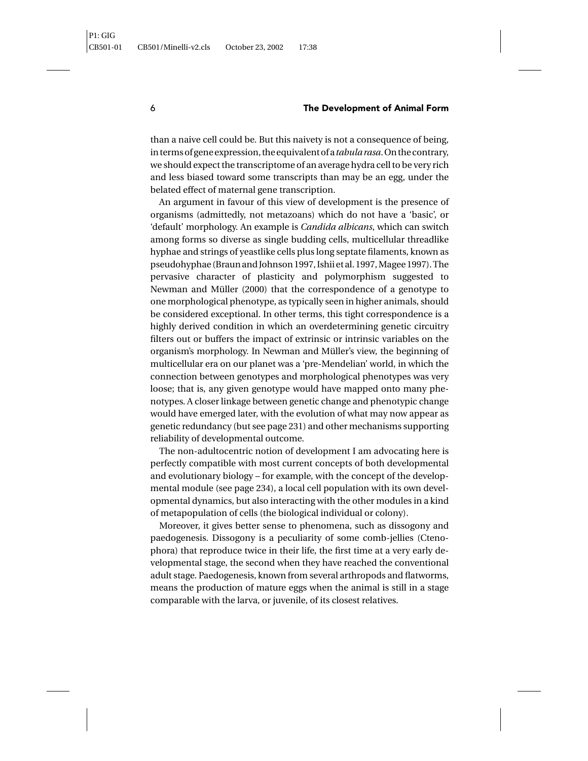than a naive cell could be. But this naivety is not a consequence of being, in terms of gene expression, the equivalent of a*tabula rasa*. On the contrary, we should expect the transcriptome of an average hydra cell to be very rich and less biased toward some transcripts than may be an egg, under the belated effect of maternal gene transcription.

An argument in favour of this view of development is the presence of organisms (admittedly, not metazoans) which do not have a 'basic', or 'default' morphology. An example is *Candida albicans*, which can switch among forms so diverse as single budding cells, multicellular threadlike hyphae and strings of yeastlike cells plus long septate filaments, known as pseudohyphae (Braun and Johnson 1997, Ishii et al. 1997, Magee 1997). The pervasive character of plasticity and polymorphism suggested to Newman and Müller (2000) that the correspondence of a genotype to one morphological phenotype, as typically seen in higher animals, should be considered exceptional. In other terms, this tight correspondence is a highly derived condition in which an overdetermining genetic circuitry filters out or buffers the impact of extrinsic or intrinsic variables on the organism's morphology. In Newman and Müller's view, the beginning of multicellular era on our planet was a 'pre-Mendelian' world, in which the connection between genotypes and morphological phenotypes was very loose; that is, any given genotype would have mapped onto many phenotypes. A closer linkage between genetic change and phenotypic change would have emerged later, with the evolution of what may now appear as genetic redundancy (but see page 231) and other mechanisms supporting reliability of developmental outcome.

The non-adultocentric notion of development I am advocating here is perfectly compatible with most current concepts of both developmental and evolutionary biology – for example, with the concept of the developmental module (see page 234), a local cell population with its own developmental dynamics, but also interacting with the other modules in a kind of metapopulation of cells (the biological individual or colony).

Moreover, it gives better sense to phenomena, such as dissogony and paedogenesis. Dissogony is a peculiarity of some comb-jellies (Ctenophora) that reproduce twice in their life, the first time at a very early developmental stage, the second when they have reached the conventional adult stage. Paedogenesis, known from several arthropods and flatworms, means the production of mature eggs when the animal is still in a stage comparable with the larva, or juvenile, of its closest relatives.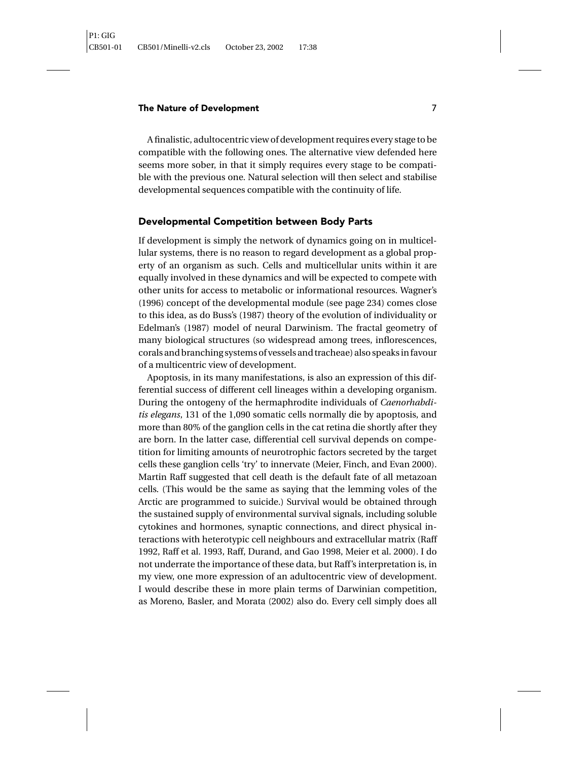Afinalistic, adultocentric view of development requires every stage to be compatible with the following ones. The alternative view defended here seems more sober, in that it simply requires every stage to be compatible with the previous one. Natural selection will then select and stabilise developmental sequences compatible with the continuity of life.

#### Developmental Competition between Body Parts

If development is simply the network of dynamics going on in multicellular systems, there is no reason to regard development as a global property of an organism as such. Cells and multicellular units within it are equally involved in these dynamics and will be expected to compete with other units for access to metabolic or informational resources. Wagner's (1996) concept of the developmental module (see page 234) comes close to this idea, as do Buss's (1987) theory of the evolution of individuality or Edelman's (1987) model of neural Darwinism. The fractal geometry of many biological structures (so widespread among trees, inflorescences, corals and branching systems of vessels and tracheae) also speaks in favour of a multicentric view of development.

Apoptosis, in its many manifestations, is also an expression of this differential success of different cell lineages within a developing organism. During the ontogeny of the hermaphrodite individuals of *Caenorhabditis elegans*, 131 of the 1,090 somatic cells normally die by apoptosis, and more than 80% of the ganglion cells in the cat retina die shortly after they are born. In the latter case, differential cell survival depends on competition for limiting amounts of neurotrophic factors secreted by the target cells these ganglion cells 'try' to innervate (Meier, Finch, and Evan 2000). Martin Raff suggested that cell death is the default fate of all metazoan cells. (This would be the same as saying that the lemming voles of the Arctic are programmed to suicide.) Survival would be obtained through the sustained supply of environmental survival signals, including soluble cytokines and hormones, synaptic connections, and direct physical interactions with heterotypic cell neighbours and extracellular matrix (Raff 1992, Raff et al. 1993, Raff, Durand, and Gao 1998, Meier et al. 2000). I do not underrate the importance of these data, but Raff's interpretation is, in my view, one more expression of an adultocentric view of development. I would describe these in more plain terms of Darwinian competition, as Moreno, Basler, and Morata (2002) also do. Every cell simply does all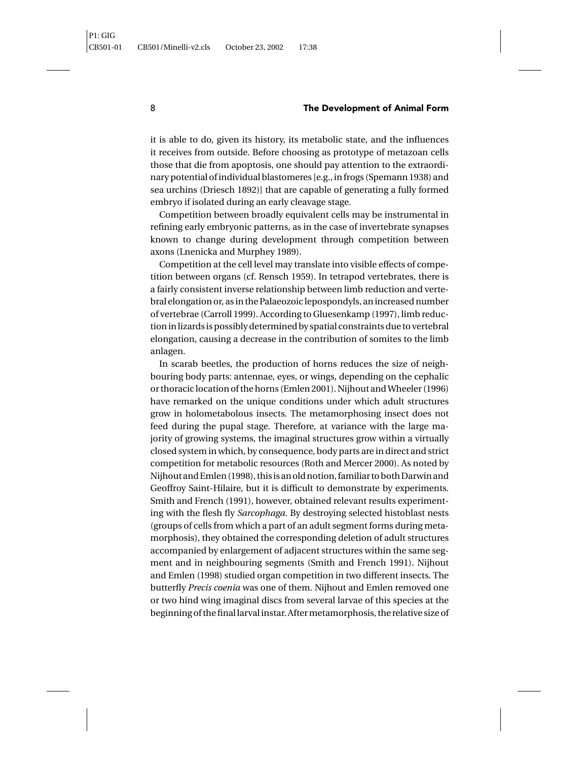it is able to do, given its history, its metabolic state, and the influences it receives from outside. Before choosing as prototype of metazoan cells those that die from apoptosis, one should pay attention to the extraordinary potential of individual blastomeres [e.g., in frogs (Spemann 1938) and sea urchins (Driesch 1892)] that are capable of generating a fully formed embryo if isolated during an early cleavage stage.

Competition between broadly equivalent cells may be instrumental in refining early embryonic patterns, as in the case of invertebrate synapses known to change during development through competition between axons (Lnenicka and Murphey 1989).

Competition at the cell level may translate into visible effects of competition between organs (cf. Rensch 1959). In tetrapod vertebrates, there is a fairly consistent inverse relationship between limb reduction and vertebral elongation or, as in the Palaeozoic lepospondyls, an increased number of vertebrae (Carroll 1999). According to Gluesenkamp (1997), limb reduction in lizards is possibly determined by spatial constraints due to vertebral elongation, causing a decrease in the contribution of somites to the limb anlagen.

In scarab beetles, the production of horns reduces the size of neighbouring body parts: antennae, eyes, or wings, depending on the cephalic or thoracic location of the horns (Emlen 2001). Nijhout and Wheeler (1996) have remarked on the unique conditions under which adult structures grow in holometabolous insects. The metamorphosing insect does not feed during the pupal stage. Therefore, at variance with the large majority of growing systems, the imaginal structures grow within a virtually closed system in which, by consequence, body parts are in direct and strict competition for metabolic resources (Roth and Mercer 2000). As noted by Nijhout and Emlen (1998), this is an old notion, familiar to both Darwin and Geoffroy Saint-Hilaire, but it is difficult to demonstrate by experiments. Smith and French (1991), however, obtained relevant results experimenting with the flesh fly *Sarcophaga*. By destroying selected histoblast nests (groups of cells from which a part of an adult segment forms during metamorphosis), they obtained the corresponding deletion of adult structures accompanied by enlargement of adjacent structures within the same segment and in neighbouring segments (Smith and French 1991). Nijhout and Emlen (1998) studied organ competition in two different insects. The butterfly *Precis coenia* was one of them. Nijhout and Emlen removed one or two hind wing imaginal discs from several larvae of this species at the beginning of thefinal larval instar. After metamorphosis, the relative size of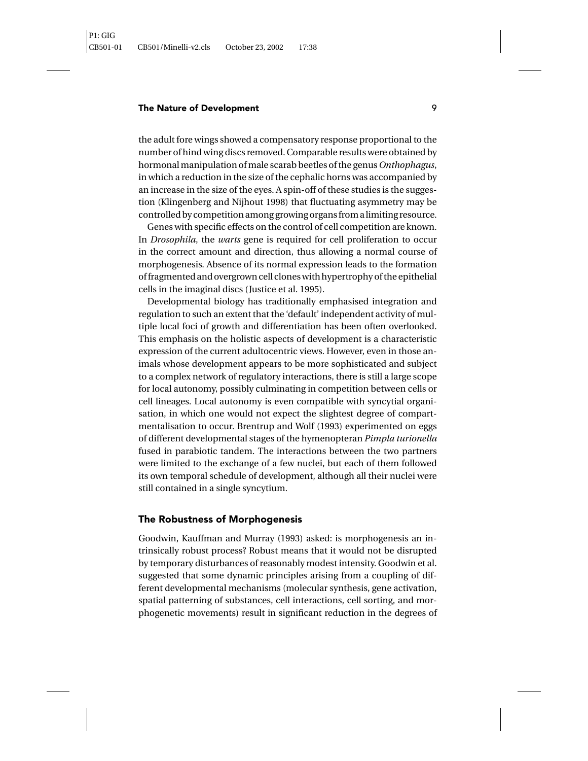the adult fore wings showed a compensatory response proportional to the number of hind wing discs removed. Comparable results were obtained by hormonal manipulation of male scarab beetles of the genus *Onthophagus*, in which a reduction in the size of the cephalic horns was accompanied by an increase in the size of the eyes. A spin-off of these studies is the suggestion (Klingenberg and Nijhout 1998) that fluctuating asymmetry may be controlled by competition among growing organs from a limiting resource.

Genes with specific effects on the control of cell competition are known. In *Drosophila*, the *warts* gene is required for cell proliferation to occur in the correct amount and direction, thus allowing a normal course of morphogenesis. Absence of its normal expression leads to the formation of fragmented and overgrown cell clones with hypertrophy of the epithelial cells in the imaginal discs (Justice et al. 1995).

Developmental biology has traditionally emphasised integration and regulation to such an extent that the 'default' independent activity of multiple local foci of growth and differentiation has been often overlooked. This emphasis on the holistic aspects of development is a characteristic expression of the current adultocentric views. However, even in those animals whose development appears to be more sophisticated and subject to a complex network of regulatory interactions, there is still a large scope for local autonomy, possibly culminating in competition between cells or cell lineages. Local autonomy is even compatible with syncytial organisation, in which one would not expect the slightest degree of compartmentalisation to occur. Brentrup and Wolf (1993) experimented on eggs of different developmental stages of the hymenopteran *Pimpla turionella* fused in parabiotic tandem. The interactions between the two partners were limited to the exchange of a few nuclei, but each of them followed its own temporal schedule of development, although all their nuclei were still contained in a single syncytium.

#### The Robustness of Morphogenesis

Goodwin, Kauffman and Murray (1993) asked: is morphogenesis an intrinsically robust process? Robust means that it would not be disrupted by temporary disturbances of reasonably modest intensity. Goodwin et al. suggested that some dynamic principles arising from a coupling of different developmental mechanisms (molecular synthesis, gene activation, spatial patterning of substances, cell interactions, cell sorting, and morphogenetic movements) result in significant reduction in the degrees of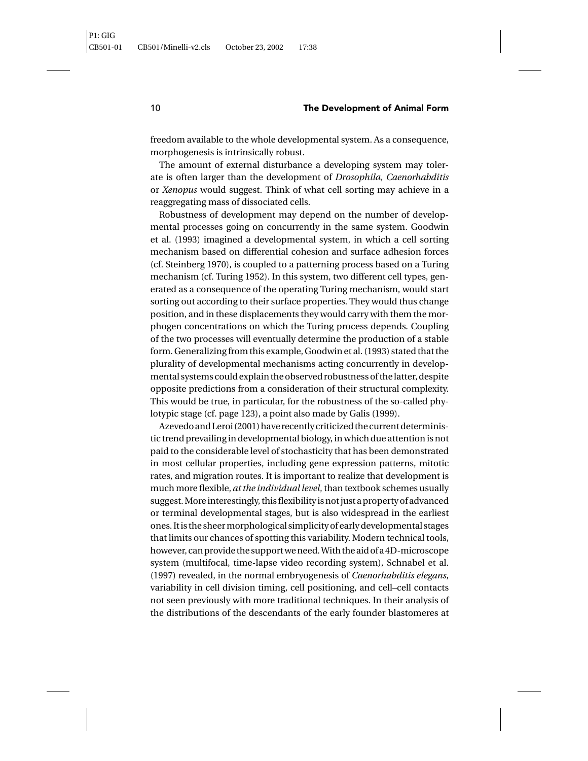freedom available to the whole developmental system. As a consequence, morphogenesis is intrinsically robust.

The amount of external disturbance a developing system may tolerate is often larger than the development of *Drosophila*, *Caenorhabditis* or *Xenopus* would suggest. Think of what cell sorting may achieve in a reaggregating mass of dissociated cells.

Robustness of development may depend on the number of developmental processes going on concurrently in the same system. Goodwin et al. (1993) imagined a developmental system, in which a cell sorting mechanism based on differential cohesion and surface adhesion forces (cf. Steinberg 1970), is coupled to a patterning process based on a Turing mechanism (cf. Turing 1952). In this system, two different cell types, generated as a consequence of the operating Turing mechanism, would start sorting out according to their surface properties. They would thus change position, and in these displacements they would carry with them the morphogen concentrations on which the Turing process depends. Coupling of the two processes will eventually determine the production of a stable form. Generalizing from this example, Goodwin et al. (1993) stated that the plurality of developmental mechanisms acting concurrently in developmental systems could explain the observed robustness of the latter, despite opposite predictions from a consideration of their structural complexity. This would be true, in particular, for the robustness of the so-called phylotypic stage (cf. page 123), a point also made by Galis (1999).

Azevedo and Leroi (2001) have recently criticized the current deterministic trend prevailing in developmental biology, in which due attention is not paid to the considerable level of stochasticity that has been demonstrated in most cellular properties, including gene expression patterns, mitotic rates, and migration routes. It is important to realize that development is much more flexible, *at the individual level*, than textbook schemes usually suggest. More interestingly, thisflexibility is not just a property of advanced or terminal developmental stages, but is also widespread in the earliest ones. It is the sheer morphological simplicity of early developmental stages that limits our chances of spotting this variability. Modern technical tools, however, can provide the support we need. With the aid of a 4D-microscope system (multifocal, time-lapse video recording system), Schnabel et al. (1997) revealed, in the normal embryogenesis of *Caenorhabditis elegans*, variability in cell division timing, cell positioning, and cell–cell contacts not seen previously with more traditional techniques. In their analysis of the distributions of the descendants of the early founder blastomeres at